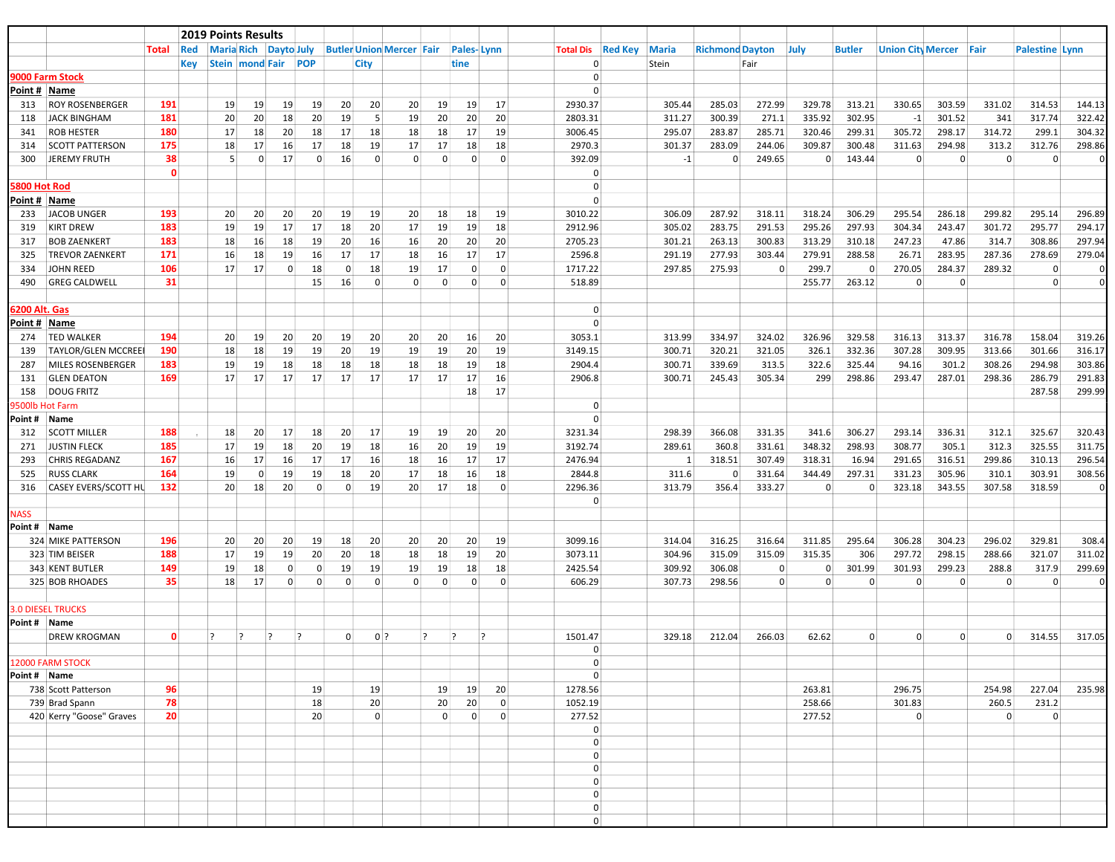|               |                             |                 |              | <b>2019 Points Results</b> |                              |                |                 |                 |                |                                 |          |                   |    |                |                  |                |              |                        |                |          |                |                          |                |                |                       |          |
|---------------|-----------------------------|-----------------|--------------|----------------------------|------------------------------|----------------|-----------------|-----------------|----------------|---------------------------------|----------|-------------------|----|----------------|------------------|----------------|--------------|------------------------|----------------|----------|----------------|--------------------------|----------------|----------------|-----------------------|----------|
|               |                             | Total           | Red          |                            | <b>Maria Rich Dayto July</b> |                |                 |                 |                | <b>Butler Union Mercer Fair</b> |          | <b>Pales-Lynn</b> |    |                | <b>Total Dis</b> | <b>Red Key</b> | <b>Maria</b> | <b>Richmond Dayton</b> |                | July     | <b>Butler</b>  | <b>Union City Mercer</b> |                | Fair           | <b>Palestine Lynn</b> |          |
|               |                             |                 | Key          |                            | <b>Stein   mond Fair</b>     | POP            |                 |                 | City           |                                 |          | tine              |    |                | $\Omega$         |                | Stein        |                        | Fair           |          |                |                          |                |                |                       |          |
|               | 9000 Farm Stock             |                 |              |                            |                              |                |                 |                 |                |                                 |          |                   |    |                | $\Omega$         |                |              |                        |                |          |                |                          |                |                |                       |          |
|               | Point # Name                |                 |              |                            |                              |                |                 |                 |                |                                 |          |                   |    |                | $\Omega$         |                |              |                        |                |          |                |                          |                |                |                       |          |
| 313           | <b>ROY ROSENBERGER</b>      | 191             |              | 19                         | 19                           | 19             | 19              | 20              | 20             | 20                              | 19       | 19                | 17 |                | 2930.37          |                | 305.44       | 285.03                 | 272.99         | 329.78   | 313.21         | 330.65                   | 303.59         | 331.02         | 314.53                | 144.13   |
| 118           | <b>JACK BINGHAM</b>         | 181             |              | 20                         | 20                           | 18             | 20              | 19              | 5 <sup>1</sup> | 19                              | 20       | 20                | 20 |                | 2803.31          |                | 311.27       | 300.39                 | 271.1          | 335.92   | 302.95         | $-1$                     | 301.52         | 341            | 317.74                | 322.42   |
| 341           | <b>ROB HESTER</b>           | 180             |              | 17                         | 18                           | 20             | 18              | 17              | 18             | 18                              | 18       | 17                | 19 |                | 3006.45          |                | 295.07       | 283.87                 | 285.71         | 320.46   | 299.31         | 305.72                   | 298.17         | 314.72         | 299.1                 | 304.32   |
| 314           | <b>SCOTT PATTERSON</b>      | 175             |              | 18                         | 17                           | 16             | 17              | 18              | 19             | 17                              | 17       | 18                | 18 |                | 2970.3           |                | 301.37       | 283.09                 | 244.06         | 309.87   | 300.48         | 311.63                   | 294.98         | 313.2          | 312.76                | 298.86   |
| 300           | <b>JEREMY FRUTH</b>         | 38              |              | 5                          | $\overline{0}$               | 17             | $\overline{0}$  | 16              | $\mathbf{0}$   | $\overline{0}$                  | $\Omega$ | $\mathbf{0}$      |    | $\overline{0}$ | 392.09           |                | $-1$         | 0                      | 249.65         | $\Omega$ | 143.44         | $\Omega$                 | $\mathbf 0$    | $\Omega$       | $\mathbf{0}$          | $\Omega$ |
|               |                             |                 | $\mathbf{0}$ |                            |                              |                |                 |                 |                |                                 |          |                   |    |                | $\Omega$         |                |              |                        |                |          |                |                          |                |                |                       |          |
| 5800 Hot Rod  |                             |                 |              |                            |                              |                |                 |                 |                |                                 |          |                   |    |                |                  |                |              |                        |                |          |                |                          |                |                |                       |          |
|               | Point # Name                |                 |              |                            |                              |                |                 |                 |                |                                 |          |                   |    |                | $\Omega$         |                |              |                        |                |          |                |                          |                |                |                       |          |
| 233           | <b>JACOB UNGER</b>          | 193             |              | 20 <sup>2</sup>            | 20                           | 20             | 20              | 19              | 19             | 20                              | 18       | 18                | 19 |                | 3010.22          |                | 306.09       | 287.92                 | 318.11         | 318.24   | 306.29         | 295.54                   | 286.18         | 299.82         | 295.14                | 296.89   |
| 319           | <b>KIRT DREW</b>            | 183             |              | 19                         | 19                           | 17             | 17              | 18              | 20             | 17                              | 19       | 19                | 18 |                | 2912.96          |                | 305.02       | 283.75                 | 291.53         | 295.26   | 297.93         | 304.34                   | 243.47         | 301.72         | 295.77                | 294.17   |
| 317           | <b>BOB ZAENKERT</b>         | 183             |              | 18                         | 16                           | 18             | 19              | 20 <sup>2</sup> | 16             | 16                              | 20       | 20                | 20 |                | 2705.23          |                | 301.21       | 263.13                 | 300.83         | 313.29   | 310.18         | 247.23                   | 47.86          | 314.7          | 308.86                | 297.94   |
| 325           | <b>TREVOR ZAENKERT</b>      | 171             |              | 16                         | 18                           | 19             | 16              | 17              | 17             | 18                              | 16       | 17                | 17 |                | 2596.8           |                | 291.19       | 277.93                 | 303.44         | 279.91   | 288.58         | 26.71                    | 283.95         | 287.36         | 278.69                | 279.04   |
| 334           | <b>JOHN REED</b>            | 106             |              | 17                         | 17                           | $\overline{0}$ | 18              | $\overline{0}$  | 18             | 19                              | 17       | $\overline{0}$    |    | $\overline{0}$ | 1717.22          |                | 297.85       | 275.93                 | $\overline{0}$ | 299.7    | $\overline{0}$ | 270.05                   | 284.37         | 289.32         | $\mathbf{0}$          | $\Omega$ |
| 490           | <b>GREG CALDWELL</b>        | 31              |              |                            |                              |                | 15              | 16              | $\mathbf{0}$   | $\overline{0}$                  | $\Omega$ | 0                 |    | $\overline{0}$ | 518.89           |                |              |                        |                | 255.77   | 263.12         | $\Omega$                 | 0              |                | $\overline{0}$        | $\Omega$ |
|               |                             |                 |              |                            |                              |                |                 |                 |                |                                 |          |                   |    |                |                  |                |              |                        |                |          |                |                          |                |                |                       |          |
| 6200 Alt. Gas |                             |                 |              |                            |                              |                |                 |                 |                |                                 |          |                   |    |                | $\Omega$         |                |              |                        |                |          |                |                          |                |                |                       |          |
|               | Point # Name                |                 |              |                            |                              |                |                 |                 |                |                                 |          |                   |    |                |                  |                |              |                        |                |          |                |                          |                |                |                       |          |
| 274           | <b>TED WALKER</b>           | 194             |              | 20 <sup>2</sup>            | 19                           | 20             | 20 <sup>1</sup> | 19              | 20             | 20                              | 20       | 16                | 20 |                | 3053.1           |                | 313.99       | 334.97                 | 324.02         | 326.96   | 329.58         | 316.13                   | 313.37         | 316.78         | 158.04                | 319.26   |
| 139           | <b>TAYLOR/GLEN MCCREEI</b>  | 190             |              | 18                         | 18                           | 19             | 19              | 20              | 19             | 19                              | 19       | 20                | 19 |                | 3149.15          |                | 300.71       | 320.21                 | 321.05         | 326.1    | 332.36         | 307.28                   | 309.95         | 313.66         | 301.66                | 316.17   |
| 287           | MILES ROSENBERGER           | 183             |              | 19                         | 19                           | 18             | 18              | 18              | 18             | 18                              | 18       | 19                | 18 |                | 2904.4           |                | 300.71       | 339.69                 | 313.5          | 322.6    | 325.44         | 94.16                    | 301.2          | 308.26         | 294.98                | 303.86   |
| 131           | <b>GLEN DEATON</b>          | 169             |              | 17                         | 17                           | 17             | 17              | 17              | 17             | 17                              | 17       | 17                | 16 |                | 2906.8           |                | 300.71       | 245.43                 | 305.34         | 299      | 298.86         | 293.47                   | 287.01         | 298.36         | 286.79                | 291.83   |
| 158           | <b>DOUG FRITZ</b>           |                 |              |                            |                              |                |                 |                 |                |                                 |          | 18                | 17 |                |                  |                |              |                        |                |          |                |                          |                |                | 287.58                | 299.99   |
|               | 9500lb Hot Farm             |                 |              |                            |                              |                |                 |                 |                |                                 |          |                   |    |                | $\Omega$         |                |              |                        |                |          |                |                          |                |                |                       |          |
| Point # Name  |                             |                 |              |                            |                              |                |                 |                 |                |                                 |          |                   |    |                | $\Omega$         |                |              |                        |                |          |                |                          |                |                |                       |          |
| 312           | <b>SCOTT MILLER</b>         | 188             |              | 18                         | 20                           | 17             | 18              | 20              | 17             | 19                              | 19       | 20                | 20 |                | 3231.34          |                | 298.39       | 366.08                 | 331.35         | 341.6    | 306.27         | 293.14                   | 336.31         | 312.1          | 325.67                | 320.43   |
| 271           | <b>JUSTIN FLECK</b>         | 185             |              | 17                         | 19                           | 18             | 20              | 19              | 18             | 16                              | 20       | 19                | 19 |                | 3192.74          |                | 289.61       | 360.8                  | 331.61         | 348.32   | 298.93         | 308.77                   | 305.1          | 312.3          | 325.55                | 311.75   |
| 293           | <b>CHRIS REGADANZ</b>       | 167             |              | 16                         | 17                           | 16             | 17              | 17              | 16             | 18                              | 16       | 17                | 17 |                | 2476.94          |                | 1            | 318.51                 | 307.49         | 318.31   | 16.94          | 291.65                   | 316.51         | 299.86         | 310.13                | 296.54   |
| 525           | <b>RUSS CLARK</b>           | 164             |              | 19                         | $\Omega$                     | 19             | 19              | 18              | 20             | 17                              | 18       | 16                | 18 |                | 2844.8           |                | 311.6        | 0                      | 331.64         | 344.49   | 297.31         | 331.23                   | 305.96         | 310.1          | 303.91                | 308.56   |
| 316           | <b>CASEY EVERS/SCOTT HL</b> | 132             |              | 20                         | 18                           | 20             | $\overline{0}$  | $\overline{0}$  | 19             | 20                              | 17       | 18                |    | $\overline{0}$ | 2296.36          |                | 313.79       | 356.4                  | 333.27         | $\Omega$ | $\overline{0}$ | 323.18                   | 343.55         | 307.58         | 318.59                | $\Omega$ |
|               |                             |                 |              |                            |                              |                |                 |                 |                |                                 |          |                   |    |                | $\Omega$         |                |              |                        |                |          |                |                          |                |                |                       |          |
| <b>NASS</b>   |                             |                 |              |                            |                              |                |                 |                 |                |                                 |          |                   |    |                |                  |                |              |                        |                |          |                |                          |                |                |                       |          |
| Point # Name  |                             |                 |              |                            |                              |                |                 |                 |                |                                 |          |                   |    |                |                  |                |              |                        |                |          |                |                          |                |                |                       |          |
|               | <b>324 MIKE PATTERSON</b>   | 196             |              | 20 <sup>2</sup>            | 20                           | 20             | 19              | 18              | 20             | 20                              | 20       | 20                | 19 |                | 3099.16          |                | 314.04       | 316.25                 | 316.64         | 311.85   | 295.64         | 306.28                   | 304.23         | 296.02         | 329.81                | 308.4    |
|               | 323 TIM BEISER              | 188             |              | 17                         | 19                           | 19             | 20 <sup>1</sup> | 20              | 18             | 18                              | 18       | 19                | 20 |                | 3073.11          |                | 304.96       | 315.09                 | 315.09         | 315.35   | 306            | 297.72                   | 298.15         | 288.66         | 321.07                | 311.02   |
|               | 343 KENT BUTLER             | 149             |              | 19                         | 18                           | $\Omega$       | $\Omega$        | 19              | 19             | 19                              | 19       | 18                | 18 |                | 2425.54          |                | 309.92       | 306.08                 | $\overline{0}$ | $\Omega$ | 301.99         | 301.93                   | 299.23         | 288.8          | 317.9                 | 299.69   |
|               | 325 BOB RHOADES             | 35              |              | 18                         | 17                           | $\overline{0}$ | $\Omega$        | $\Omega$        | $\mathbf{0}$   | $\Omega$                        | $\Omega$ | 0                 |    | $\overline{0}$ | 606.29           |                | 307.73       | 298.56                 | $\overline{0}$ | $\Omega$ | $\Omega$       | $\Omega$                 | $\Omega$       | $\Omega$       | $\mathbf{0}$          | 0        |
|               |                             |                 |              |                            |                              |                |                 |                 |                |                                 |          |                   |    |                |                  |                |              |                        |                |          |                |                          |                |                |                       |          |
|               | <b>3.0 DIESEL TRUCKS</b>    |                 |              |                            |                              |                |                 |                 |                |                                 |          |                   |    |                |                  |                |              |                        |                |          |                |                          |                |                |                       |          |
| Point # Name  |                             |                 |              |                            |                              |                |                 |                 |                |                                 |          |                   |    |                |                  |                |              |                        |                |          |                |                          |                |                |                       |          |
|               | <b>DREW KROGMAN</b>         |                 | $\mathbf{0}$ | $\overline{?}$<br><u>?</u> | $\overline{?}$               | $\overline{?}$ |                 | $\overline{0}$  | $0$ ?          | $\overline{?}$                  |          | $\overline{?}$    | 2  |                | 1501.47          |                | 329.18       | 212.04                 | 266.03         | 62.62    | $\overline{0}$ | $\Omega$                 | $\overline{0}$ |                | 314.55                | 317.05   |
|               |                             |                 |              |                            |                              |                |                 |                 |                |                                 |          |                   |    |                | $\Omega$         |                |              |                        |                |          |                |                          |                |                |                       |          |
|               | 12000 FARM STOCK            |                 |              |                            |                              |                |                 |                 |                |                                 |          |                   |    |                | $\overline{0}$   |                |              |                        |                |          |                |                          |                |                |                       |          |
| Point # Name  |                             |                 |              |                            |                              |                |                 |                 |                |                                 |          |                   |    |                | $\overline{0}$   |                |              |                        |                |          |                |                          |                |                |                       |          |
|               | 738 Scott Patterson         | 96              |              |                            |                              |                | 19              |                 | 19             |                                 | 19       | 19                | 20 |                | 1278.56          |                |              |                        |                | 263.81   |                | 296.75                   |                | 254.98         | 227.04                | 235.98   |
|               | 739 Brad Spann              | 78              |              |                            |                              |                | 18              |                 | 20             |                                 | 20       | 20                |    | $\overline{0}$ | 1052.19          |                |              |                        |                | 258.66   |                | 301.83                   |                | 260.5          | 231.2                 |          |
|               | 420 Kerry "Goose" Graves    | 20 <sup>1</sup> |              |                            |                              |                | 20 <sup>2</sup> |                 | $\overline{0}$ |                                 | $\Omega$ | $\overline{0}$    |    | $\overline{0}$ | 277.52           |                |              |                        |                | 277.52   |                | $\overline{0}$           |                | $\overline{0}$ | $\mathbf 0$           |          |
|               |                             |                 |              |                            |                              |                |                 |                 |                |                                 |          |                   |    |                | $\overline{0}$   |                |              |                        |                |          |                |                          |                |                |                       |          |
|               |                             |                 |              |                            |                              |                |                 |                 |                |                                 |          |                   |    |                | $\overline{0}$   |                |              |                        |                |          |                |                          |                |                |                       |          |
|               |                             |                 |              |                            |                              |                |                 |                 |                |                                 |          |                   |    |                | $\overline{0}$   |                |              |                        |                |          |                |                          |                |                |                       |          |
|               |                             |                 |              |                            |                              |                |                 |                 |                |                                 |          |                   |    |                | $\overline{0}$   |                |              |                        |                |          |                |                          |                |                |                       |          |
|               |                             |                 |              |                            |                              |                |                 |                 |                |                                 |          |                   |    |                | $\overline{0}$   |                |              |                        |                |          |                |                          |                |                |                       |          |
|               |                             |                 |              |                            |                              |                |                 |                 |                |                                 |          |                   |    |                | $\overline{0}$   |                |              |                        |                |          |                |                          |                |                |                       |          |
|               |                             |                 |              |                            |                              |                |                 |                 |                |                                 |          |                   |    |                | $\overline{0}$   |                |              |                        |                |          |                |                          |                |                |                       |          |
|               |                             |                 |              |                            |                              |                |                 |                 |                |                                 |          |                   |    |                | $\overline{0}$   |                |              |                        |                |          |                |                          |                |                |                       |          |